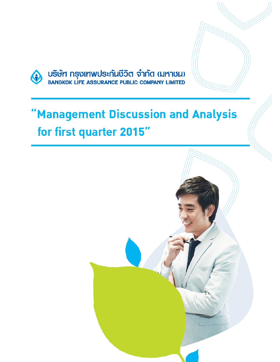

USUM NSULANUSENTINGS SANG (NATULI)

# "Management Discussion and Analysis for first quarter 2015"

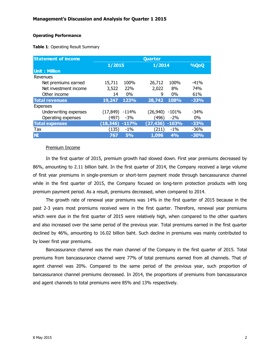#### **Operating Performance**

**Table 1**: Operating Result Summary

| <b>Statement of income</b> | Quarter   |           |           |         |        |
|----------------------------|-----------|-----------|-----------|---------|--------|
|                            | 1/2015    |           | 1/2014    |         | %QoQ   |
| <b>Unit: Million</b>       |           |           |           |         |        |
| Revenues                   |           |           |           |         |        |
| Net premiums earned        | 15,711    | 100%      | 26,712    | 100%    | $-41%$ |
| Net investment income      | 3,522     | 22%       | 2,022     | 8%      | 74%    |
| Other income               | 14        | $0\%$     | 9         | $0\%$   | 61%    |
| <b>Total revenues</b>      | 19,247    | 123%      | 28,742    | 108%    | $-33%$ |
| <b>Expenses</b>            |           |           |           |         |        |
| Underwriting expenses      | (17, 849) | $-114%$   | (26,940)  | $-101%$ | $-34%$ |
| Operating expenses         | (497)     | $-3%$     | (496)     | $-2\%$  | $0\%$  |
| <b>Total expenses</b>      | (18, 346) | $-117%$   | (27, 436) | $-103%$ | $-33%$ |
| Tax                        | (135)     | $-1\%$    | (211)     | $-1\%$  | $-36%$ |
| <b>NI</b>                  | 767       | <b>5%</b> | 1,096     | 4%      | $-30%$ |

#### Premium Income

In the first quarter of 2015, premium growth had slowed down. First year premiums decreased by 86%, amounting to 2.11 billion baht. In the first quarter of 2014, the Company received a large volume of first year premiums in single-premium or short-term payment mode through bancassurance channel while in the first quarter of 2015, the Company focused on long-term protection products with long premium payment period. As a result, premiums decreased, when compared to 2014.

The growth rate of renewal year premiums was 14% in the first quarter of 2015 because in the past 2-3 years most premiums received were in the first quarter. Therefore, renewal year premiums which were due in the first quarter of 2015 were relatively high, when compared to the other quarters and also increased over the same period of the previous year. Total premiums earned in the first quarter declined by 46%, amounting to 16.02 billion baht. Such decline in premiums was mainly contributed to by lower first year premiums.

Bancassurance channel was the main channel of the Company in the first quarter of 2015. Total premiums from bancassurance channel were 77% of total premiums earned from all channels. That of agent channel was 20%. Compared to the same period of the previous year, such proportion of bancassurance channel premiums decreased. In 2014, the proportions of premiums from bancassurance and agent channels to total premiums were 85% and 13% respectively.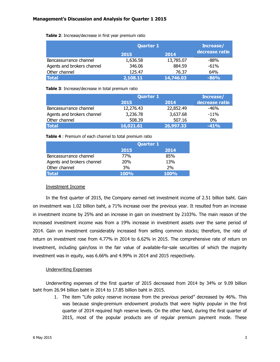| Table 2: Increase/decrease in first year premium ratio |  |  |  |  |  |
|--------------------------------------------------------|--|--|--|--|--|
|--------------------------------------------------------|--|--|--|--|--|

|                            |          | <b>Quarter 1</b> |                |  |
|----------------------------|----------|------------------|----------------|--|
|                            | 2015     | 2014             | decrease ratio |  |
| Bancassurrance channel     | 1,636.58 | 13,785.07        | $-88%$         |  |
| Agents and brokers channel | 346.06   | 884.59           | $-61%$         |  |
| Other channel              | 125.47   | 76.37            | 64%            |  |
| Total                      | 2,108.11 | 14,746.03        | $-86%$         |  |

**Table 3**: Increase/decrease in total premium ratio

|                            | <b>Quarter 1</b> | Increase/ |                |
|----------------------------|------------------|-----------|----------------|
|                            | 2015<br>2014     |           | decrease ratio |
| Bancassurrance channel     | 12,276.43        | 22,852.49 | -46%           |
| Agents and brokers channel | 3,236.78         | 3,637.68  | $-11%$         |
| Other channel              | 508.39           | 507.16    | $0\%$          |
| <b>Total</b>               | 16,021.61        | 26,997.33 | $-41%$         |

**Table 4** : Premium of each channel to total premium ratio

|                            | <b>Quarter 1</b> |             |  |
|----------------------------|------------------|-------------|--|
|                            | 2015             | 2014        |  |
| Bancassurrance channel     | 77%              | 85%         |  |
| Agents and brokers channel | <b>20%</b>       | 13%         |  |
| Other channel              | 3%               | 2%          |  |
| <b>Total</b>               | <b>100%</b>      | <b>100%</b> |  |

# Investment Income

In the first quarter of 2015, the Company earned net investment income of 2.51 billion baht. Gain on investment was 1.02 billion baht, a 71% increase over the previous year. It resulted from an increase in investment income by 25% and an increase in gain on investment by 2103%. The main reason of the increased investment income was from a 19% increase in investment assets over the same period of 2014. Gain on investment considerably increased from selling common stocks; therefore, the rate of return on investment rose from 4.77% in 2014 to 6.62% in 2015. The comprehensive rate of return on investment, including gain/loss in the fair value of available-for-sale securities of which the majority investment was in equity, was 6.66% and 4.99% in 2014 and 2015 respectively.

# Underwriting Expenses

Underwriting expenses of the first quarter of 2015 decreased from 2014 by 34% or 9.09 billion baht from 26.94 billion baht in 2014 to 17.85 billion baht in 2015.

1. The item "Life policy reserve increase from the previous period" decreased by 46%. This was because single-premium endowment products that were highly popular in the first quarter of 2014 required high reserve levels. On the other hand, during the first quarter of 2015, most of the popular products are of regular premium payment mode. These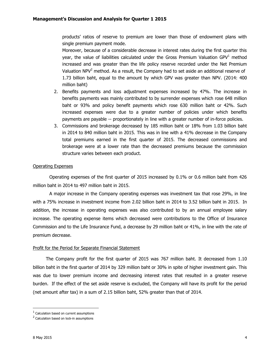products' ratios of reserve to premium are lower than those of endowment plans with single premium payment mode.

Moreover, because of a considerable decrease in interest rates during the first quarter this year, the value of liabilities calculated under the Gross Premium Valuation  $GPV<sup>1</sup>$  method increased and was greater than the life policy reserve recorded under the Net Premium Valuation  $NPV<sup>2</sup>$  method. As a result, the Company had to set aside an additional reserve of 1.73 billion baht, equal to the amount by which GPV was greater than NPV. (2014: 400 million baht)

- 2. Benefits payments and loss adjustment expenses increased by 47%. The increase in benefits payments was mainly contributed to by surrender expenses which rose 648 million baht or 93% and policy benefit payments which rose 630 million baht or 42%. Such increased expenses were due to a greater number of policies under which benefits payments are payable -- proportionately in line with a greater number of in-force policies.
- 3. Commissions and brokerage decreased by 185 million baht or 18% from 1.03 billion baht in 2014 to 840 million baht in 2015. This was in line with a 41% decrease in the Company total premiums earned in the first quarter of 2015. The decreased commissions and brokerage were at a lower rate than the decreased premiums because the commission structure varies between each product.

# Operating Expenses

Operating expenses of the first quarter of 2015 increased by 0.1% or 0.6 million baht from 426 million baht in 2014 to 497 million baht in 2015.

A major increase in the Company operating expenses was investment tax that rose 29%, in line with a 75% increase in investment income from 2.02 billion baht in 2014 to 3.52 billion baht in 2015. In addition, the increase in operating expenses was also contributed to by an annual employee salary increase. The operating expense items which decreased were contributions to the Office of Insurance Commission and to the Life Insurance Fund, a decrease by 29 million baht or 41%, in line with the rate of premium decrease.

# Profit for the Period for Separate Financial Statement

The Company profit for the first quarter of 2015 was 767 million baht. It decreased from 1.10 billion baht in the first quarter of 2014 by 329 million baht or 30% in spite of higher investment gain. This was due to lower premium income and decreasing interest rates that resulted in a greater reserve burden. If the effect of the set aside reserve is excluded, the Company will have its profit for the period (net amount after tax) in a sum of 2.15 billion baht, 52% greater than that of 2014.

 $\overline{\phantom{a}}$ 

 $<sup>1</sup>$  Calculation based on current assumptions</sup>

<sup>&</sup>lt;sup>2</sup> Calculation based on lock-in assumptions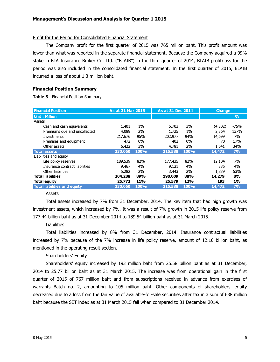#### Profit for the Period for Consolidated Financial Statement

The Company profit for the first quarter of 2015 was 765 million baht. This profit amount was lower than what was reported in the separate financial statement. Because the Company acquired a 99% stake in BLA Insurance Broker Co. Ltd. ("BLAIB") in the third quarter of 2014, BLAIB profit/loss for the period was also included in the consolidated financial statement. In the first quarter of 2015, BLAIB incurred a loss of about 1.3 million baht.

#### **Financial Position Summary**

**Table 5** : Financial Position Summary

| <b>Financial Position</b>           | As at 31 Mar 2015 |      |         | As at 31 Dec 2014 |         | <b>Change</b> |
|-------------------------------------|-------------------|------|---------|-------------------|---------|---------------|
| <b>Unit: Million</b>                |                   |      |         |                   |         | $\frac{9}{0}$ |
| Assets                              |                   |      |         |                   |         |               |
| Cash and cash equivalents           | 1,401             | 1%   | 5,703   | 3%                | (4,302) | -75%          |
| Premiums due and uncollected        | 4,089             | 2%   | 1,725   | 1%                | 2,364   | 137%          |
| Investments                         | 217,676           | 95%  | 202,977 | 94%               | 14,699  | 7%            |
| Premises and equipment              | 472               | 0%   | 402     | $0\%$             | 70      | 17%           |
| Other assets                        | 6,422             | 3%   | 4,781   | 2%                | 1,641   | 34%           |
| <b>Total assets</b>                 | 230,060           | 100% | 215,588 | <b>100%</b>       | 14,472  | 7%            |
| Liabilities and equity              |                   |      |         |                   |         |               |
| Life policy reserves                | 189,539           | 82%  | 177,435 | 82%               | 12,104  | 7%            |
| Insurance contract liabilities      | 9,467             | 4%   | 9,131   | 4%                | 335     | 4%            |
| Other liabilities                   | 5,282             | 2%   | 3,443   | 2%                | 1,839   | 53%           |
| <b>Total liabilities</b>            | 204,288           | 89%  | 190,009 | 88%               | 14,279  | 8%            |
| Total equity                        | 25,772            | 11%  | 25,579  | 12%               | 193     | 1%            |
| <b>Total liabilities and equity</b> | 230,060           | 100% | 215,588 | 100%              | 14,472  | 7%            |

#### Assets

Total assets increased by 7% from 31 December, 2014. The key item that had high growth was investment assets, which increased by 7%. It was a result of 7% growth in 2015 life policy reserve from 177.44 billion baht as at 31 December 2014 to 189.54 billion baht as at 31 March 2015.

# **Liabilities**

Total liabilities increased by 8% from 31 December, 2014. Insurance contractual liabilities increased by 7% because of the 7% increase in life policy reserve, amount of 12.10 billion baht, as mentioned in the operating result section.

# Shareholders' Equity

Shareholders' equity increased by 193 million baht from 25.58 billion baht as at 31 December, 2014 to 25.77 billion baht as at 31 March 2015. The increase was from operational gain in the first quarter of 2015 of 767 million baht and from subscriptions received in advance from exercises of warrants Batch no. 2, amounting to 105 million baht. Other components of shareholders' equity decreased due to a loss from the fair value of available-for-sale securities after tax in a sum of 688 million baht because the SET index as at 31 March 2015 fell when compared to 31 December 2014.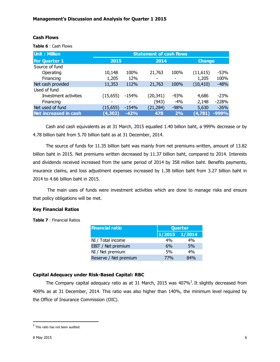# **Cash Flows**

**Table 6** : Cash Flows

| <b>Unit: Million</b>  | <b>Statement of cash flows</b> |         |           |        |           |               |  |
|-----------------------|--------------------------------|---------|-----------|--------|-----------|---------------|--|
| <b>For Quarter 1</b>  | 2015                           |         |           | 2014   |           | <b>Change</b> |  |
| Source of fund        |                                |         |           |        |           |               |  |
| Operating             | 10,148                         | 100%    | 21,763    | 100%   | (11, 615) | -53%          |  |
| Financing             | 1,205                          | 12%     |           |        | 1,205     | 100%          |  |
| Net cash provided     | 11,353                         | 112%    | 21,763    | 100%   | (10, 410) | $-48%$        |  |
| Used of fund          |                                |         |           |        |           |               |  |
| Investment activities | (15, 655)                      | -154%   | (20, 341) | $-93%$ | 4,686     | $-23%$        |  |
| Financing             |                                |         | (943)     | $-4%$  | 2,148     | $-228%$       |  |
| Net used of fund      | (15, 655)                      | $-154%$ | (21, 284) | $-98%$ | 5,630     | $-26%$        |  |
| Net increased in cash | (4, 302)                       | $-42%$  | 478       | 2%     | (4,781)   | $-999%$       |  |

Cash and cash equivalents as at 31 March, 2015 equalled 1.40 billion baht, a 999% decrease or by 4.78 billion baht from 5.70 billion baht as at 31 December, 2014.

The source of funds for 11.35 billion baht was mainly from net premiums written, amount of 13.82 billion baht in 2015. Net premiums written decreased by 11.37 billion baht, compared to 2014. Interests and dividends received increased from the same period of 2014 by 358 million baht. Benefits payments, insurance claims, and loss adjustment expenses increased by 1.38 billion baht from 3.27 billion baht in 2014 to 4.66 billion baht in 2015.

The main uses of funds were investment activities which are done to manage risks and ensure that policy obligations will be met.

# **Key Financial Ratios**

**Table 7** : Financial Ratios

| <b>Financial ratio</b> | Quarter       |     |  |
|------------------------|---------------|-----|--|
|                        | 1/2015 1/2014 |     |  |
| NI / Total income      | 4%            | 4%  |  |
| EBIT / Net premium     | 6%            | 5%  |  |
| NI / Net premium       | 5%            | 4%  |  |
| Reserve / Net premium  | 77%           | 84% |  |

# **Capital Adequacy under Risk-Based Capital: RBC**

The Company capital adequacy ratio as at 31 March, 2015 was  $407\%$ <sup>3</sup>. It slightly decreased from 409% as at 31 December, 2014. This ratio was also higher than 140%, the minimum level required by the Office of Insurance Commission (OIC).

 $\overline{\phantom{a}}$ 

 $3$  This ratio has not been audited.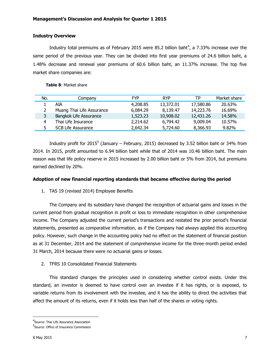# **Industry Overview**

Industry total premiums as of February 2015 were 85.2 billion baht<sup>4</sup>, a 7.33% increase over the same period of the previous year. They can be divided into first year premiums of 24.6 billion baht, a 1.48% decrease and renewal year premiums of 60.6 billion baht, an 11.37% increase. The top five market share companies are:

#### **Table 8**: Market share

|     | <b>Table 8: Market share</b> |            |            |           |              |
|-----|------------------------------|------------|------------|-----------|--------------|
| No. | Company                      | <b>FYP</b> | <b>RYP</b> | ТP        | Market share |
|     | AIA                          | 4,208.85   | 13,372.01  | 17,580.86 | 20.63%       |
|     | Muang Thai Life Assurance    | 6,084.29   | 8,139.47   | 14,223.76 | 16.69%       |
| 3   | Bangkok Life Assurance       | 1,523.23   | 10,908.02  | 12,431.26 | 14.58%       |
| 4   | Thai Life Insurance          | 2,214.62   | 6,794.42   | 9,009.04  | 10.57%       |
| 5.  | <b>SCB Life Assurance</b>    | 2,642.34   | 5,724.60   | 8,366.93  | 9.82%        |

Industry profit for 2015<sup>5</sup> (January – February, 2015) decreased by 3.52 billion baht or 34% from 2014. In 2015, profit amounted to 6.94 billion baht while that of 2014 was 10.46 billion baht. The main reason was that life policy reserve in 2015 increased by 2.00 billion baht or 5% from 2014, but premiums earned declined by 20%.

# **Adoption of new financial reporting standards that became effective during the period**

1. TAS 19 (revised 2014) Employee Benefits

The Company and its subsidiary have changed the recognition of actuarial gains and losses in the current period from gradual recognition in profit or loss to immediate recognition in other comprehensive income. The Company adjusted the current period's transactions and restated the prior period's financial statements, presented as comparative information, as if the Company had always applied this accounting policy. However, such change in the accounting policy had no effect on the statement of financial position as at 31 December, 2014 and the statement of comprehensive income for the three-month period ended 31 March, 2014 because there were no actuarial gains or losses.

2. TFRS 10 Consolidated Financial Statements

This standard changes the principles used in considering whether control exists. Under this standard, an investor is deemed to have control over an investee if it has rights, or is exposed, to variable returns from its involvement with the investee, and it has the ability to direct the activities that affect the amount of its returns, even if it holds less than half of the shares or voting rights.

 $\overline{\phantom{a}}$ 

<sup>&</sup>lt;sup>4</sup>Source: Thai Life Assurance Association

<sup>5</sup> Source: Office of Insurance Commission